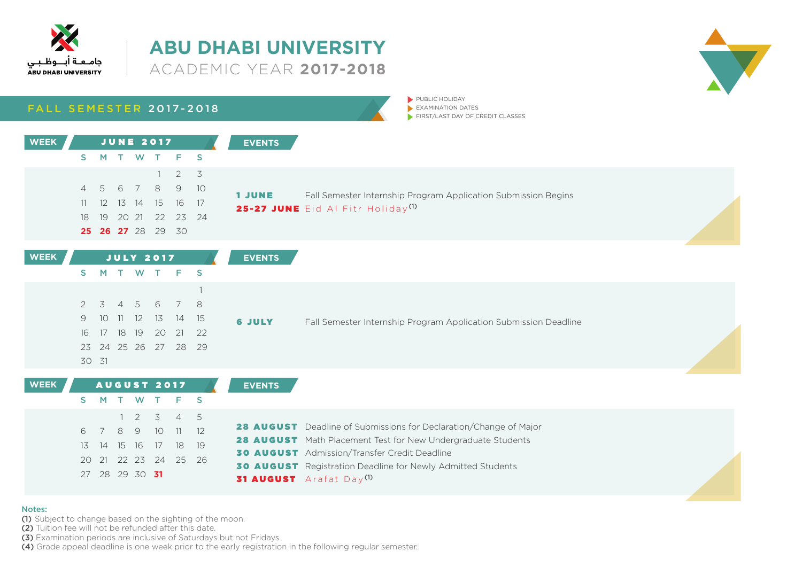



### **FALL SEMESTER 2017-2018**

 $\blacktriangleright$  PUBLIC HOLIDAY  $\blacktriangleright$  EXAMINATION DATES  $\blacktriangleright$  FIRST/LAST DAY OF CREDIT CLASSES

| <b>WEEK</b> |    |       |  | <b>JUNE 2017</b>         |                                  | <b>EVENTS</b> |                                                                |
|-------------|----|-------|--|--------------------------|----------------------------------|---------------|----------------------------------------------------------------|
|             | S. | M.    |  |                          | T W T F S                        |               |                                                                |
|             |    |       |  |                          | $1 \t2 \t3$                      |               |                                                                |
|             |    |       |  |                          | 4 5 6 7 8 9 10                   | <b>1 JUNE</b> | Fall Semester Internship Program Application Submission Begins |
|             |    |       |  |                          | 11   12   13   14   15   16   17 |               | 25-27 JUNE Eid Al Fitr Holiday <sup>(1)</sup>                  |
|             |    | 18 19 |  |                          | 20 21 22 23 24                   |               |                                                                |
|             |    |       |  | <b>25 26 27</b> 28 29 30 |                                  |               |                                                                |

| <b>WEEK</b> |       |  | JULY 2017 |                      | <b>EVENTS</b> |                                                                  |
|-------------|-------|--|-----------|----------------------|---------------|------------------------------------------------------------------|
|             |       |  |           | S M T W T F S        |               |                                                                  |
|             |       |  |           |                      |               |                                                                  |
|             |       |  |           | 2 3 4 5 6 7 8        |               |                                                                  |
|             |       |  |           | 9 10 11 12 13 14 15  | <b>6 JULY</b> | Fall Semester Internship Program Application Submission Deadline |
|             |       |  |           | 16 17 18 19 20 21 22 |               |                                                                  |
|             |       |  |           | 23 24 25 26 27 28 29 |               |                                                                  |
|             | 30 31 |  |           |                      |               |                                                                  |

| <b>WEEK</b> |                |  | <b>AUGUST 2017</b> |                      | <b>EVENTS</b>                                                      |  |
|-------------|----------------|--|--------------------|----------------------|--------------------------------------------------------------------|--|
|             |                |  |                    | S M T W T F S        |                                                                    |  |
|             |                |  |                    | $1 \t2 \t3 \t4 \t5$  |                                                                    |  |
|             |                |  |                    | 6 7 8 9 10 11 12     | 28 AUGUST Deadline of Submissions for Declaration/Change of Major  |  |
|             |                |  |                    | 13 14 15 16 17 18 19 | 28 AUGUST Math Placement Test for New Undergraduate Students       |  |
|             |                |  |                    |                      | <b>30 AUGUST</b> Admission/Transfer Credit Deadline                |  |
|             |                |  |                    | 20 21 22 23 24 25 26 |                                                                    |  |
|             | 27 28 29 30 31 |  |                    |                      | <b>30 AUGUST</b> Registration Deadline for Newly Admitted Students |  |
|             |                |  |                    |                      | <b>31 AUGUST</b> Arafat Day <sup>(1)</sup>                         |  |

#### Notes:

(1) Subject to change based on the sighting of the moon.

(2) Tuition fee will not be refunded after this date.

(3) Examination periods are inclusive of Saturdays but not Fridays.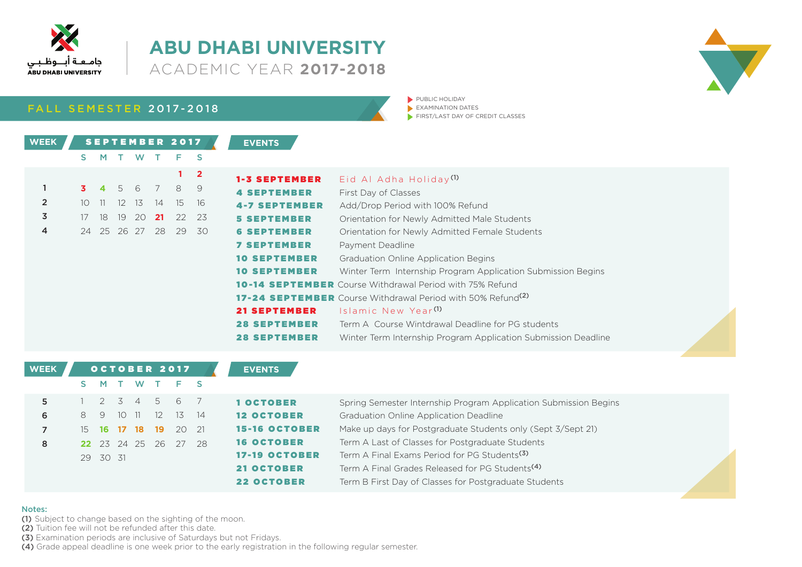

**WEEK**

### **ABU DHABI UNIVERSITY 2017-2018**

**FALL SEMESTER 2017-2018** 

|       |       | <b>SEPTEMBER 2017</b> |      | <b>EVENTS</b> |    |              |                      |                                                                                |
|-------|-------|-----------------------|------|---------------|----|--------------|----------------------|--------------------------------------------------------------------------------|
| S M   |       |                       | W    |               | F  | S            |                      |                                                                                |
|       |       |                       |      |               |    | $\mathbf{2}$ | <b>1-3 SEPTEMBER</b> | Eid Al Adha Holiday <sup>(1)</sup>                                             |
|       |       | 3 4 5 6               |      | 7 8           |    | -9           | <b>4 SEPTEMBER</b>   | First Day of Classes                                                           |
| 10 11 |       | $12 \overline{ }$     | - 13 | 14            | 15 | 16           | <b>4-7 SEPTEMBER</b> | Add/Drop Period with 100% Refund                                               |
|       | 17 18 | 19                    | -20  | 21            | 22 | 23           | <b>5 SEPTEMBER</b>   | Orientation for Newly Admitted Male Students                                   |
|       |       | 24 25 26 27           |      | 28            | 29 | 30           | <b>6 SEPTEMBER</b>   | Orientation for Newly Admitted Female Students                                 |
|       |       |                       |      |               |    |              | <b>7 SEPTEMBER</b>   | Payment Deadline                                                               |
|       |       |                       |      |               |    |              | <b>10 SEPTEMBER</b>  | <b>Graduation Online Application Begins</b>                                    |
|       |       |                       |      |               |    |              | <b>10 SEPTEMBER</b>  | Winter Term Internship Program Application Submission Begins                   |
|       |       |                       |      |               |    |              |                      | <b>10-14 SEPTEMBER</b> Course Withdrawal Period with 75% Refund                |
|       |       |                       |      |               |    |              |                      | <b>17-24 SEPTEMBER</b> Course Withdrawal Period with 50% Refund <sup>(2)</sup> |
|       |       |                       |      |               |    |              | <b>21 SEPTEMBER</b>  | Islamic New Year <sup>(1)</sup>                                                |
|       |       |                       |      |               |    |              | <b>28 SEPTEMBER</b>  | Term A Course Wintdrawal Deadline for PG students                              |
|       |       |                       |      |               |    |              | <b>28 SEPTEMBER</b>  | Winter Term Internship Program Application Submission Deadline                 |

| <b>WEEK</b> |     |          |      | OCTOBER 2017    |               |         |      | <b>EVENTS</b>        |                                                                  |  |
|-------------|-----|----------|------|-----------------|---------------|---------|------|----------------------|------------------------------------------------------------------|--|
|             |     | M.       |      |                 |               | W T F S |      |                      |                                                                  |  |
| 5           |     |          |      | 2 3 4 5         |               | 6       |      | 1 OCTOBER            | Spring Semester Internship Program Application Submission Begins |  |
| 6           | 8.  | -9       | - 10 | $\overline{11}$ | <sup>12</sup> | - 13    | - 14 | <b>12 OCTOBER</b>    | Graduation Online Application Deadline                           |  |
|             | 15. |          |      | 16 17 18        | 19            | 20 21   |      | <b>15-16 OCTOBER</b> | Make up days for Postgraduate Students only (Sept 3/Sept 21)     |  |
| 8           |     |          |      | 22 23 24 25 26  |               | - 27    | - 28 | <b>16 OCTOBER</b>    | Term A Last of Classes for Postgraduate Students                 |  |
|             |     | 29 30 31 |      |                 |               |         |      | <b>17-19 OCTOBER</b> | Term A Final Exams Period for PG Students <sup>(3)</sup>         |  |
|             |     |          |      |                 |               |         |      | <b>21 OCTOBER</b>    | Term A Final Grades Released for PG Students <sup>(4)</sup>      |  |
|             |     |          |      |                 |               |         |      | <b>22 OCTOBER</b>    | Term B First Day of Classes for Postgraduate Students            |  |

### Notes:

(1) Subject to change based on the sighting of the moon.

(2) Tuition fee will not be refunded after this date.

(3) Examination periods are inclusive of Saturdays but not Fridays.

 $(4)$  Grade appeal deadline is one week prior to the early registration in the following regular semester.



**DUBLIC HOLIDAY**  $\blacktriangleright$  EXAMINATION DATES  $\blacktriangleright$  FIRST/LAST DAY OF CREDIT CLASSES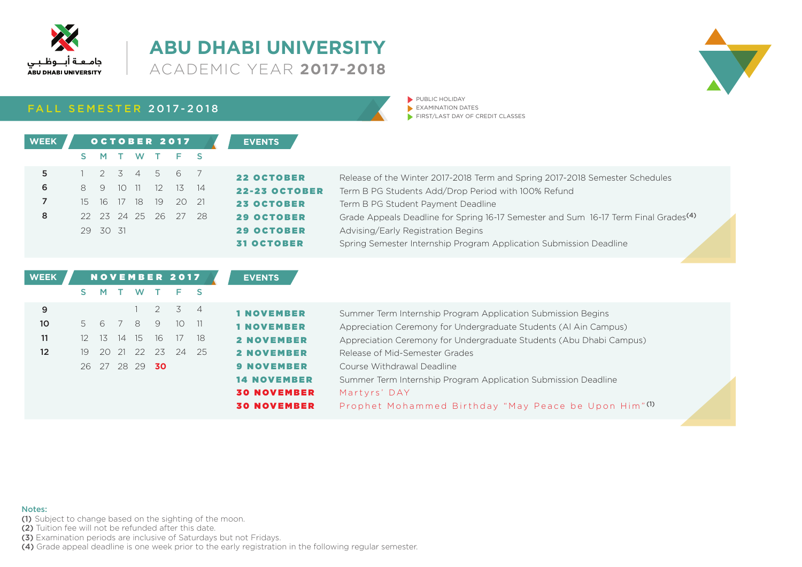

V

### **FALL SEMESTER 2017-2018**

PUBLIC HOLIDAY  $\blacktriangleright$  EXAMINATION DATES  $\blacktriangleright$  FIRST/LAST DAY OF CREDIT CLASSES

| <b>WEEK</b> |   |          |             |      | OCTOBER 2017                |                      | <b>EVENTS</b>        |                                                                                                 |
|-------------|---|----------|-------------|------|-----------------------------|----------------------|----------------------|-------------------------------------------------------------------------------------------------|
|             |   |          |             |      | S M T W T F S               |                      |                      |                                                                                                 |
| 5           |   |          |             |      | $1 \t2 \t3 \t4 \t5 \t6 \t7$ |                      | <b>22 OCTOBER</b>    | Release of the Winter 2017-2018 Term and Spring 2017-2018 Semester Schedules                    |
| 6           | 8 |          |             |      | 9 10 11 12 13 14            |                      | <b>22-23 OCTOBER</b> | Term B PG Students Add/Drop Period with 100% Refund                                             |
|             |   |          | 15 16 17 18 | - 19 | 20 21                       |                      | <b>23 OCTOBER</b>    | Term B PG Student Payment Deadline                                                              |
| 8           |   |          |             |      |                             | 22 23 24 25 26 27 28 | <b>29 OCTOBER</b>    | Grade Appeals Deadline for Spring 16-17 Semester and Sum 16-17 Term Final Grades <sup>(4)</sup> |
|             |   | 29 30 31 |             |      |                             |                      | <b>29 OCTOBER</b>    | Advising/Early Registration Begins                                                              |
|             |   |          |             |      |                             |                      | <b>31 OCTOBER</b>    | Spring Semester Internship Program Application Submission Deadline                              |

| <b>WEEK</b>       |         | NOVEMBER 2017  |                            |             |             |      | <b>EVENTS</b>      |                                                                     |  |
|-------------------|---------|----------------|----------------------------|-------------|-------------|------|--------------------|---------------------------------------------------------------------|--|
|                   |         |                |                            | W T         | E.          |      |                    |                                                                     |  |
| 9                 |         |                | 1 $\overline{\phantom{a}}$ | 2           | 3 4         |      | <b>1 NOVEMBER</b>  | Summer Term Internship Program Application Submission Begins        |  |
| 10                |         | 5 6            |                            |             | 7 8 9 10 11 |      | <b>1 NOVEMBER</b>  | Appreciation Ceremony for Undergraduate Students (Al Ain Campus)    |  |
| 11                | $12-12$ | -13            | 14 15 16                   |             | 17          | -18  | <b>2 NOVEMBER</b>  | Appreciation Ceremony for Undergraduate Students (Abu Dhabi Campus) |  |
| $12 \overline{ }$ | 19      |                |                            | 20 21 22 23 | - 24        | - 25 | <b>2 NOVEMBER</b>  | Release of Mid-Semester Grades                                      |  |
|                   |         | 26 27 28 29 30 |                            |             |             |      | <b>9 NOVEMBER</b>  | Course Withdrawal Deadline                                          |  |
|                   |         |                |                            |             |             |      | <b>14 NOVEMBER</b> | Summer Term Internship Program Application Submission Deadline      |  |
|                   |         |                |                            |             |             |      | <b>30 NOVEMBER</b> | Martyrs' DAY                                                        |  |
|                   |         |                |                            |             |             |      | <b>30 NOVEMBER</b> | Prophet Mohammed Birthday "May Peace be Upon Him"(1)                |  |

#### Notes:

(1) Subject to change based on the sighting of the moon.

(2) Tuition fee will not be refunded after this date.

(3) Examination periods are inclusive of Saturdays but not Fridays.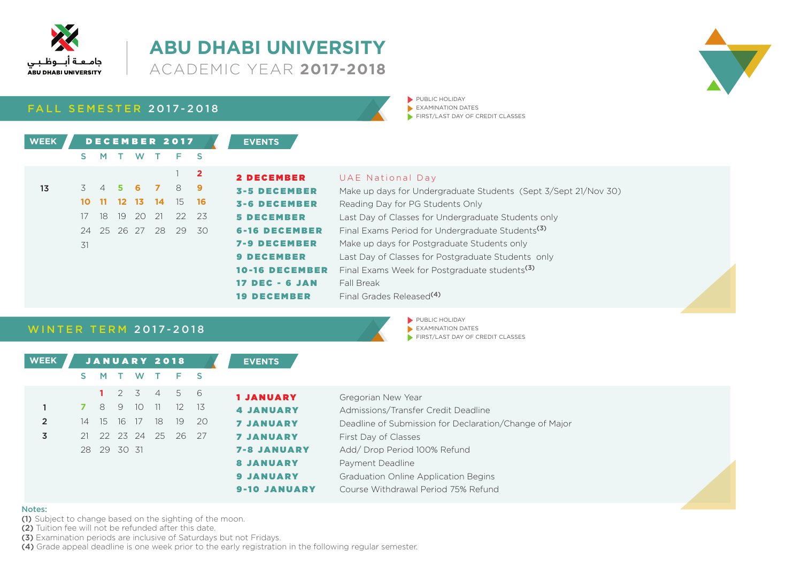

### **ABU DHABI UNIVERSITY 2017-2018**

**FALL SEMESTER 2017-2018** 

| <b>WEEK</b> |    |                     |    |                |    | DECEMBER 2017        |              | <b>EVENTS</b>         |                                                                 |
|-------------|----|---------------------|----|----------------|----|----------------------|--------------|-----------------------|-----------------------------------------------------------------|
|             | S. | M.                  |    | W.             |    | $F-S$                |              |                       |                                                                 |
|             |    |                     |    |                |    |                      | $\mathbf{2}$ | <b>2 DECEMBER</b>     | UAE National Day                                                |
| 13          |    | $3 \quad 4 \quad 5$ |    |                |    | 6 7 8 9              |              | <b>3-5 DECEMBER</b>   | Make up days for Undergraduate Students (Sept 3/Sept 21/Nov 30) |
|             |    |                     |    | 10 11 12 13 14 |    | - 15                 | - 16         | <b>3-6 DECEMBER</b>   | Reading Day for PG Students Only                                |
|             |    | 17 18               | 19 | 20             | 21 | $-22$                | 23           | <b>5 DECEMBER</b>     | Last Day of Classes for Undergraduate Students only             |
|             |    |                     |    |                |    | 24 25 26 27 28 29 30 |              | <b>6-16 DECEMBER</b>  | Final Exams Period for Undergraduate Students <sup>(3)</sup>    |
|             | 31 |                     |    |                |    |                      |              | <b>7-9 DECEMBER</b>   | Make up days for Postgraduate Students only                     |
|             |    |                     |    |                |    |                      |              | <b>9 DECEMBER</b>     | Last Day of Classes for Postgraduate Students only              |
|             |    |                     |    |                |    |                      |              | <b>10-16 DECEMBER</b> | Final Exams Week for Postgraduate students <sup>(3)</sup>       |
|             |    |                     |    |                |    |                      |              | $17$ DEC - 6 JAN      | Fall Break                                                      |
|             |    |                     |    |                |    |                      |              | <b>19 DECEMBER</b>    | Final Grades Released <sup>(4)</sup>                            |

**DUBLIC HOLIDAY**  $\blacktriangleright$  EXAMINATION DATES

 $\blacktriangleright$  PUBLIC HOLIDAY  $\blacktriangleright$  EXAMINATION DATES

 $\blacktriangleright$  FIRST/LAST DAY OF CREDIT CLASSES

 $\blacktriangleright$  FIRST/LAST DAY OF CREDIT CLASSES

### **WINTER TERM 2017-2018**

| <b>WEEK</b>    |    |      |             | <b>JANUARY 2018</b> |      |       |      | <b>EVENTS</b>       |                                                        |
|----------------|----|------|-------------|---------------------|------|-------|------|---------------------|--------------------------------------------------------|
|                |    | M    |             | W                   |      | F S   |      |                     |                                                        |
|                |    |      |             | 2 3                 | $-4$ | 5     | - 6  | <b>1 JANUARY</b>    | Gregorian New Year                                     |
|                |    | 8    | 9           | 10 <sup>°</sup>     | 11   | 12 13 |      | <b>4 JANUARY</b>    | Admissions/Transfer Credit Deadline                    |
| $\overline{2}$ | 14 | - 15 |             | 16 17               | 18   | - 19  | - 20 | <b>7 JANUARY</b>    | Deadline of Submission for Declaration/Change of Major |
| 3              | 21 |      |             | 22 23 24 25         |      | 26 27 |      | <b>7 JANUARY</b>    | First Day of Classes                                   |
|                |    |      | 28 29 30 31 |                     |      |       |      | <b>7-8 JANUARY</b>  | Add/Drop Period 100% Refund                            |
|                |    |      |             |                     |      |       |      | <b>8 JANUARY</b>    | Payment Deadline                                       |
|                |    |      |             |                     |      |       |      | <b>9 JANUARY</b>    | Graduation Online Application Begins                   |
|                |    |      |             |                     |      |       |      | <b>9-10 JANUARY</b> | Course Withdrawal Period 75% Refund                    |

#### Notes:

(1) Subject to change based on the sighting of the moon.

(2) Tuition fee will not be refunded after this date.

(3) Examination periods are inclusive of Saturdays but not Fridays.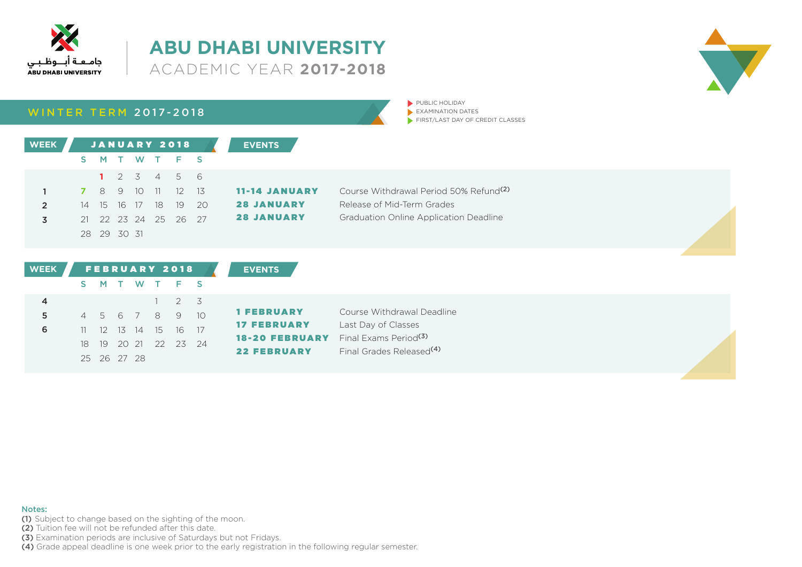



|  | <b>WINTER TERM 2017-2018</b> |
|--|------------------------------|
|  |                              |

PUBLIC HOLIDAY  $\blacktriangleright$  EXAMINATION DATES FIRST/LAST DAY OF CREDIT CLASSES

| <b>WEEK</b> |            |             |           |      | <b>JANUARY 2018</b>  |       | <b>EVENTS</b>        |                                                    |
|-------------|------------|-------------|-----------|------|----------------------|-------|----------------------|----------------------------------------------------|
|             | S.         |             |           |      | MTWTFS               |       |                      |                                                    |
|             |            |             |           |      | 1 2 3 4 5 6          |       |                      |                                                    |
|             | $\sqrt{7}$ |             | 8 9 10 11 |      | $12 \t 13$           |       | <b>11-14 JANUARY</b> | Course Withdrawal Period 50% Refund <sup>(2)</sup> |
|             |            | 14 15 16 17 |           | - 18 |                      | 19 20 | <b>28 JANUARY</b>    | Release of Mid-Term Grades                         |
|             |            |             |           |      | 21 22 23 24 25 26 27 |       | <b>28 JANUARY</b>    | <b>Graduation Online Application Deadline</b>      |
|             |            | 28 29 30 31 |           |      |                      |       |                      |                                                    |

| <b>WEEK</b> | <b>FEBRUARY 2018</b> |             |  |  |  |                      |  | <b>EVENTS</b>                               |                                                                           |
|-------------|----------------------|-------------|--|--|--|----------------------|--|---------------------------------------------|---------------------------------------------------------------------------|
|             |                      |             |  |  |  | S M T W T F S        |  |                                             |                                                                           |
|             |                      |             |  |  |  | $1 \quad 2 \quad 3$  |  |                                             |                                                                           |
|             |                      |             |  |  |  | 4 5 6 7 8 9 10       |  | <b>1 FEBRUARY</b>                           | Course Withdrawal Deadline                                                |
| 6           |                      |             |  |  |  | 11 12 13 14 15 16 17 |  | <b>17 FEBRUARY</b>                          | Last Day of Classes                                                       |
|             |                      |             |  |  |  | 18 19 20 21 22 23 24 |  | <b>18-20 FEBRUARY</b><br><b>22 FEBRUARY</b> | Final Exams Period <sup>(3)</sup><br>Final Grades Released <sup>(4)</sup> |
|             |                      | 25 26 27 28 |  |  |  |                      |  |                                             |                                                                           |

#### Notes:

(1) Subject to change based on the sighting of the moon.

(2) Tuition fee will not be refunded after this date.

(3) Examination periods are inclusive of Saturdays but not Fridays.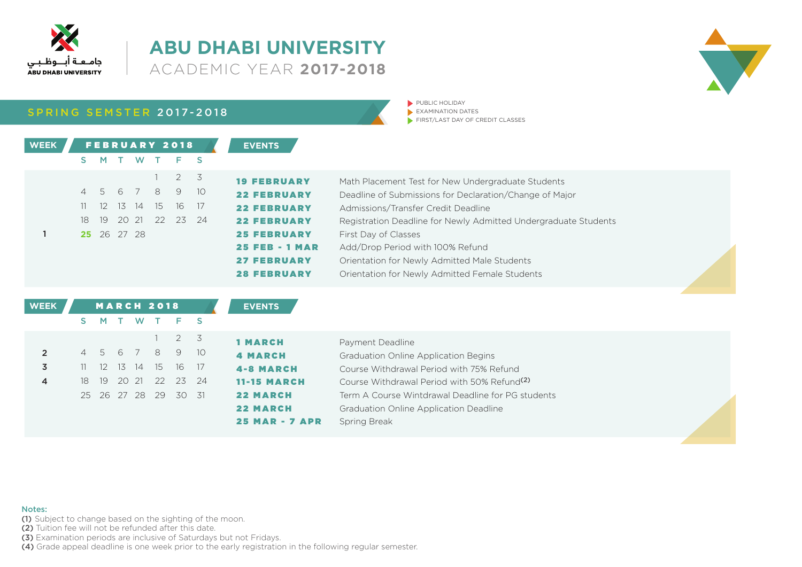

SPRING SEMSTER 2017-2018

| <b>EVENTS</b>        |     | <b>FEBRUARY 2018</b> |             |  |             |    | <b>WEEK</b> |
|----------------------|-----|----------------------|-------------|--|-------------|----|-------------|
|                      |     | T W T F S            |             |  | M .         | S. |             |
| <b>19 FEBRUARY</b>   |     | 2 3                  |             |  |             |    |             |
| <b>22 FEBRUARY</b>   | 10  |                      | 4 5 6 7 8 9 |  |             |    |             |
| <b>22 FEBRUARY</b>   | -17 | -16                  | 12 13 14 15 |  |             | 11 |             |
| <b>22 FEBRUARY</b>   |     | 19 20 21 22 23 24    |             |  |             | 18 |             |
| <b>25 FEBRUARY</b>   |     |                      |             |  | 25 26 27 28 |    |             |
| <b>25 FEB - 1 MA</b> |     |                      |             |  |             |    |             |
| <b>27 FEBRUARY</b>   |     |                      |             |  |             |    |             |



PUBLIC HOLIDAY  $\blacktriangleright$  EXAMINATION DATES FIRST/LAST DAY OF CREDIT CLASSES

| <b>19 FEBRUARY</b>    | Math Placement Test for New Undergraduate Students              |
|-----------------------|-----------------------------------------------------------------|
| <b>22 FEBRUARY</b>    | Deadline of Submissions for Declaration/Change of Major         |
| <b>22 FEBRUARY</b>    | Admissions/Transfer Credit Deadline                             |
| <b>22 FEBRUARY</b>    | Registration Deadline for Newly Admitted Undergraduate Students |
| <b>25 FEBRUARY</b>    | First Day of Classes                                            |
| <b>25 FEB - 1 MAR</b> | Add/Drop Period with 100% Refund                                |
| <b>27 FEBRUARY</b>    | Orientation for Newly Admitted Male Students                    |
| <b>28 FEBRUARY</b>    | Orientation for Newly Admitted Female Students                  |
|                       |                                                                 |

| <b>WEEK</b>    |      |                 |  | <b>MARCH 2018</b> |                  |                 | <b>EVENTS</b>         |                                                         |  |
|----------------|------|-----------------|--|-------------------|------------------|-----------------|-----------------------|---------------------------------------------------------|--|
|                |      | <b>M</b>        |  | W T F S           |                  |                 |                       |                                                         |  |
|                |      |                 |  |                   | $2 \overline{3}$ |                 | <b>1 MARCH</b>        | Payment Deadline                                        |  |
| $\overline{2}$ |      |                 |  | 4 5 6 7 8 9       |                  | 10 <sup>1</sup> | <b>4 MARCH</b>        | Graduation Online Application Begins                    |  |
| 3              |      | 12 <sup>2</sup> |  | 13 14 15 16       |                  | 17              | <b>4-8 MARCH</b>      | Course Withdrawal Period with 75% Refund                |  |
| $\overline{4}$ | 18 - | -19             |  | 20 21 22          |                  | 23 24           | <b>11-15 MARCH</b>    | Course Withdrawal Period with 50% Refund <sup>(2)</sup> |  |
|                |      |                 |  | 25 26 27 28 29    | 30               | - 31            | <b>22 MARCH</b>       | Term A Course Wintdrawal Deadline for PG students       |  |
|                |      |                 |  |                   |                  |                 | <b>22 MARCH</b>       | <b>Graduation Online Application Deadline</b>           |  |
|                |      |                 |  |                   |                  |                 | <b>25 MAR - 7 APR</b> | Spring Break                                            |  |

Notes:

(1) Subject to change based on the sighting of the moon.

(2) Tuition fee will not be refunded after this date.

(3) Examination periods are inclusive of Saturdays but not Fridays.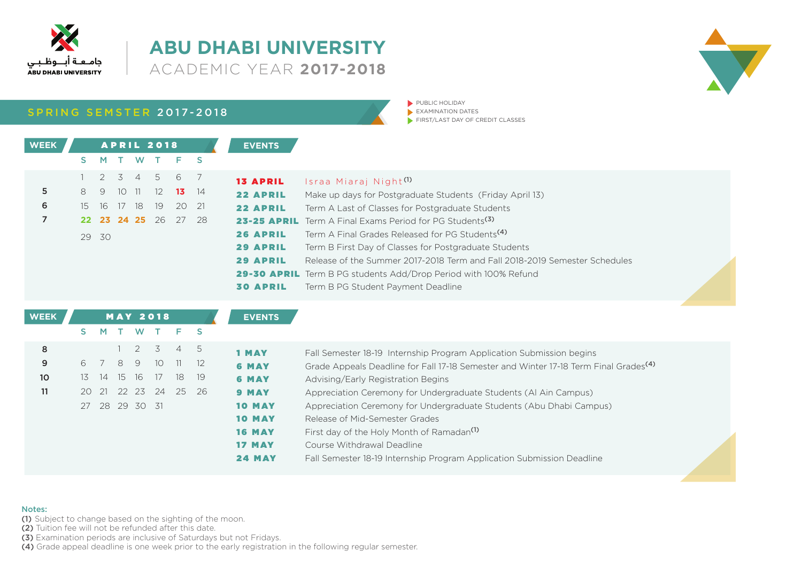

SPRING SEMSTER 2017-2018

| <b>EVENTS</b>  |     |                      | <b>APRIL 2018</b> |          |               |              |    | <b>WEEK</b> |
|----------------|-----|----------------------|-------------------|----------|---------------|--------------|----|-------------|
|                |     | T F S                |                   |          | T W           | $\mathsf{M}$ | S. |             |
| <b>13 APRI</b> |     | 2 3 4 5 6 7          |                   |          |               |              |    |             |
| 22 APRI        | -14 | 13 <sup>7</sup>      | 12                |          | $10 \quad 11$ | 9            | 8  | 5           |
| 22 APRI        |     | 20 21                | 19                | 16 17 18 |               |              | 15 | 6           |
| 23-25 AP       |     | 22 23 24 25 26 27 28 |                   |          |               |              |    | 7           |
| <b>26 APRI</b> |     |                      |                   |          |               | 29 30        |    |             |
| <b>29 APRI</b> |     |                      |                   |          |               |              |    |             |
| 29 APRI        |     |                      |                   |          |               |              |    |             |

 $\blacktriangleright$  PUBLIC HOLIDAY  $\blacktriangleright$  EXAMINATION DATES FIRST/LAST DAY OF CREDIT CLASSES

| <b>13 APRIL</b> | Israa Miaraj Night <sup>(1)</sup>                                          |
|-----------------|----------------------------------------------------------------------------|
| <b>22 APRIL</b> | Make up days for Postgraduate Students (Friday April 13)                   |
| <b>22 APRIL</b> | Term A Last of Classes for Postgraduate Students                           |
|                 | 23-25 APRIL Term A Final Exams Period for PG Students <sup>(3)</sup>       |
| <b>26 APRIL</b> | Term A Final Grades Released for PG Students <sup>(4)</sup>                |
| <b>29 APRIL</b> | Term B First Day of Classes for Postgraduate Students                      |
| <b>29 APRIL</b> | Release of the Summer 2017-2018 Term and Fall 2018-2019 Semester Schedules |
|                 | 29-30 APRIL Term B PG students Add/Drop Period with 100% Refund            |
|                 | <b>30 APRIL</b> Term B PG Student Payment Deadline                         |

| <b>WEEK</b>     |       |   |      |                | <b>MAY 2018</b>                                                                                             |                        |              | <b>EVENTS</b> |                                                                                                  |
|-----------------|-------|---|------|----------------|-------------------------------------------------------------------------------------------------------------|------------------------|--------------|---------------|--------------------------------------------------------------------------------------------------|
|                 | S.    | M |      | W T            |                                                                                                             | Е.                     | <sub>S</sub> |               |                                                                                                  |
| 8               |       |   |      |                | $\begin{array}{ccc} \begin{array}{ccc} \end{array} & 2 & \begin{array}{ccc} \end{array} & 3 \\ \end{array}$ | 4 5                    |              | 1 MAY         | Fall Semester 18-19 Internship Program Application Submission begins                             |
| 9               | 67    |   | 89   |                |                                                                                                             | $10 \quad 11 \quad 12$ |              | <b>6 MAY</b>  | Grade Appeals Deadline for Fall 17-18 Semester and Winter 17-18 Term Final Grades <sup>(4)</sup> |
| 10 <sup>°</sup> | 13 14 |   | 1516 |                | 17                                                                                                          | 18                     | -19          | <b>6 MAY</b>  | Advising/Early Registration Begins                                                               |
| 11              | 20 21 |   |      |                | 22 23 24                                                                                                    | 25                     | - 26         | <b>9 MAY</b>  | Appreciation Ceremony for Undergraduate Students (Al Ain Campus)                                 |
|                 |       |   |      | 27 28 29 30 31 |                                                                                                             |                        |              | <b>10 MAY</b> | Appreciation Ceremony for Undergraduate Students (Abu Dhabi Campus)                              |
|                 |       |   |      |                |                                                                                                             |                        |              | <b>10 MAY</b> | Release of Mid-Semester Grades                                                                   |
|                 |       |   |      |                |                                                                                                             |                        |              | <b>16 MAY</b> | First day of the Holy Month of Ramadan <sup>(1)</sup>                                            |
|                 |       |   |      |                |                                                                                                             |                        |              | <b>17 MAY</b> | Course Withdrawal Deadline                                                                       |
|                 |       |   |      |                |                                                                                                             |                        |              | <b>24 MAY</b> | Fall Semester 18-19 Internship Program Application Submission Deadline                           |

#### Notes:

(1) Subject to change based on the sighting of the moon.

(2) Tuition fee will not be refunded after this date.

(3) Examination periods are inclusive of Saturdays but not Fridays.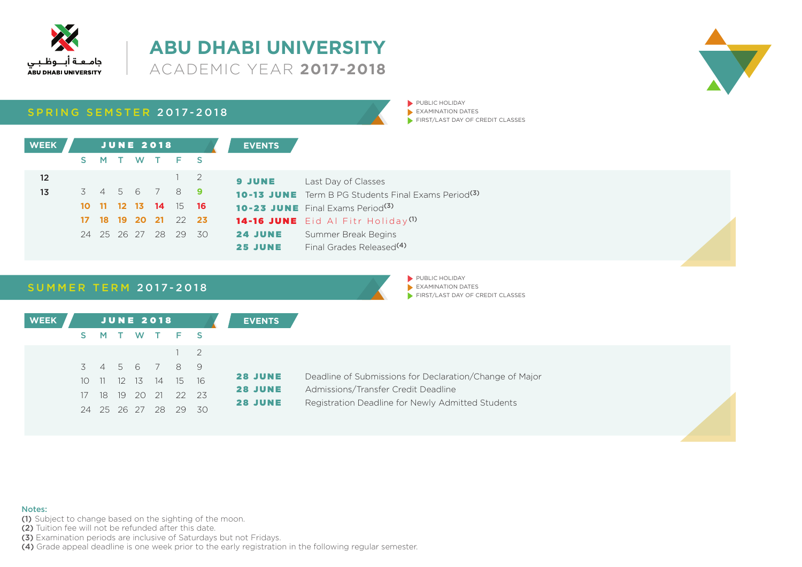

### **ABU DHABI UNIVERSITY 2017-2018**



**SUMMER TERM 2017-2018** 

PUBLIC HOLIDAY  $\blacktriangleright$  EXAMINATION DATES  $\blacktriangleright$  FIRST/LAST DAY OF CREDIT CLASSES



#### Notes:

(1) Subject to change based on the sighting of the moon.

(2) Tuition fee will not be refunded after this date.

(3) Examination periods are inclusive of Saturdays but not Fridays.